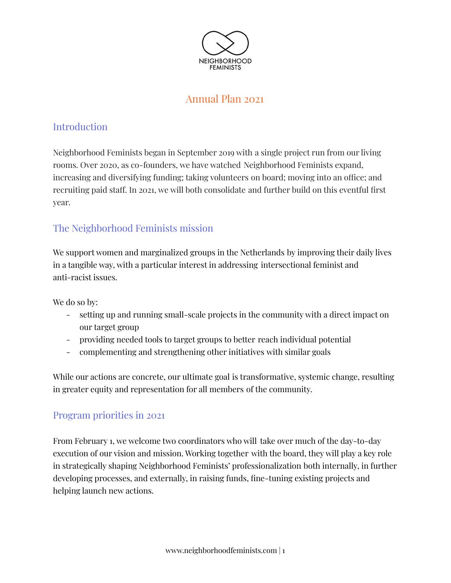

# Annual Plan 2021

# **Introduction**

Neighborhood Feminists began in September 2019 with a single project run from our living rooms. Over 2020, as co-founders, we have watched Neighborhood Feminists expand, increasing and diversifying funding; taking volunteers on board; moving into an office; and recruiting paid staff. In 2021, we will both consolidate and further build on this eventful first year.

# The Neighborhood Feminists mission

We support women and marginalized groups in the Netherlands by improving their daily lives in a tangible way, with a particular interest in addressing intersectional feminist and anti-racist issues.

We do so by:

- setting up and running small-scale projects in the community with a direct impact on our target group
- providing needed tools to target groups to better reach individual potential
- complementing and strengthening other initiatives with similar goals

While our actions are concrete, our ultimate goal is transformative, systemic change, resulting in greater equity and representation for all members of the community.

### Program priorities in 2021

From February 1, we welcome two coordinators who will take over much of the day-to-day execution of our vision and mission. Working together with the board, they will play a key role in strategically shaping Neighborhood Feminists' professionalization both internally, in further developing processes, and externally, in raising funds, fine-tuning existing projects and helping launch new actions.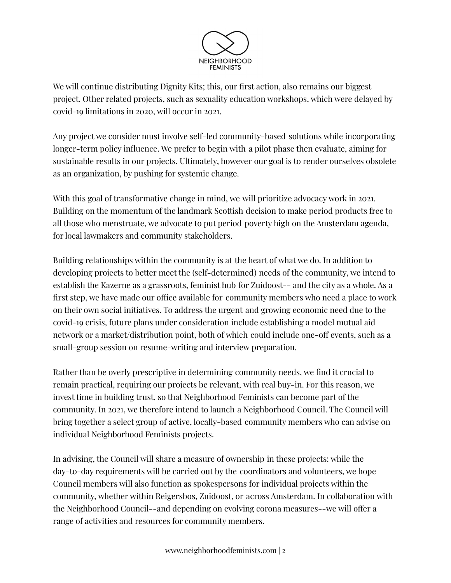

We will continue distributing Dignity Kits; this, our first action, also remains our biggest project. Other related projects, such as sexuality education workshops, which were delayed by covid-19 limitations in 2020, will occur in 2021.

Any project we consider must involve self-led community-based solutions while incorporating longer-term policy influence. We prefer to begin with a pilot phase then evaluate, aiming for sustainable results in our projects. Ultimately, however our goal is to render ourselves obsolete as an organization, by pushing for systemic change.

With this goal of transformative change in mind, we will prioritize advocacy work in 2021. Building on the momentum of the landmark Scottish decision to make period products free to all those who menstruate, we advocate to put period poverty high on the Amsterdam agenda, for local lawmakers and community stakeholders.

Building relationships within the community is at the heart of what we do. In addition to developing projects to better meet the (self-determined) needs of the community, we intend to establish the Kazerne as a grassroots, feminist hub for Zuidoost-- and the city as a whole. As a first step, we have made our office available for community members who need a place to work on their own social initiatives. To address the urgent and growing economic need due to the covid-19 crisis, future plans under consideration include establishing a model mutual aid network or a market/distribution point, both of which could include one-off events, such as a small-group session on resume-writing and interview preparation.

Rather than be overly prescriptive in determining community needs, we find it crucial to remain practical, requiring our projects be relevant, with real buy-in. For this reason, we invest time in building trust, so that Neighborhood Feminists can become part of the community. In 2021, we therefore intend to launch a Neighborhood Council. The Council will bring together a select group of active, locally-based community members who can advise on individual Neighborhood Feminists projects.

In advising, the Council will share a measure of ownership in these projects: while the day-to-day requirements will be carried out by the coordinators and volunteers, we hope Council members will also function as spokespersons for individual projects within the community, whether within Reigersbos, Zuidoost, or across Amsterdam. In collaboration with the Neighborhood Council--and depending on evolving corona measures--we will offer a range of activities and resources for community members.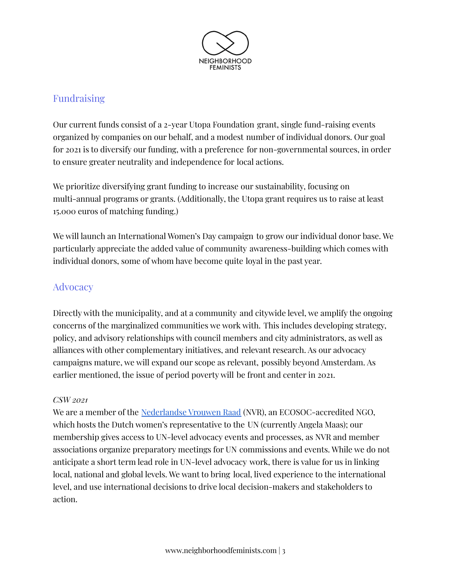

## Fundraising

Our current funds consist of a 2-year Utopa Foundation grant, single fund-raising events organized by companies on our behalf, and a modest number of individual donors. Our goal for 2021 is to diversify our funding, with a preference for non-governmental sources, in order to ensure greater neutrality and independence for local actions.

We prioritize diversifying grant funding to increase our sustainability, focusing on multi-annual programs or grants. (Additionally, the Utopa grant requires us to raise at least 15.000 euros of matching funding.)

We will launch an International Women's Day campaign to grow our individual donor base. We particularly appreciate the added value of community awareness-building which comes with individual donors, some of whom have become quite loyal in the past year.

## **Advocacy**

Directly with the municipality, and at a community and citywide level, we amplify the ongoing concerns of the marginalized communities we work with. This includes developing strategy, policy, and advisory relationships with council members and city administrators, as well as alliances with other complementary initiatives, and relevant research. As our advocacy campaigns mature, we will expand our scope as relevant, possibly beyond Amsterdam. As earlier mentioned, the issue of period poverty will be front and center in 2021.

#### *CSW 2021*

We are a member of the [Nederlandse](https://www.nederlandsevrouwenraad.nl/html/index.php) Vrouwen Raad (NVR), an ECOSOC-accredited NGO, which hosts the Dutch women's representative to the UN (currently Angela Maas); our membership gives access to UN-level advocacy events and processes, as NVR and member associations organize preparatory meetings for UN commissions and events. While we do not anticipate a short term lead role in UN-level advocacy work, there is value for us in linking local, national and global levels. We want to bring local, lived experience to the international level, and use international decisions to drive local decision-makers and stakeholders to action.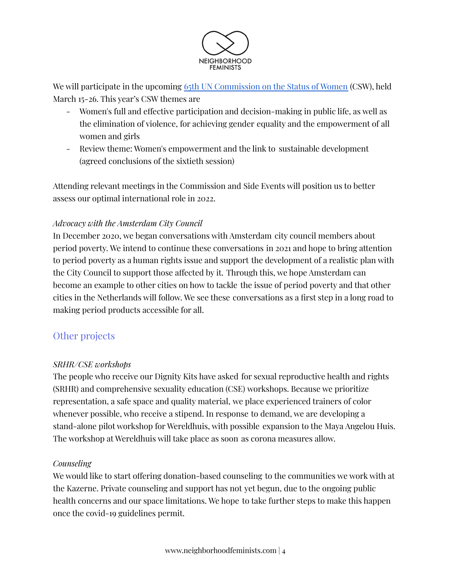

We will participate in the upcoming 65th UN [Commission](https://www.unwomen.org/en/csw/csw65-2021) on the Status of Women (CSW), held March 15-26. This year's CSW themes are

- Women's full and effective participation and decision-making in public life, as well as the elimination of violence, for achieving gender equality and the empowerment of all women and girls
- Review theme: Women's empowerment and the link to sustainable development (agreed [conclusions](https://www.unwomen.org/en/csw/outcomes#60) of the sixtieth session)

Attending relevant meetings in the Commission and Side Events will position us to better assess our optimal international role in 2022.

#### *Advocacy with the Amsterdam City Council*

In December 2020, we began conversations with Amsterdam city council members about period poverty. We intend to continue these conversations in 2021 and hope to bring attention to period poverty as a human rights issue and support the development of a realistic plan with the City Council to support those affected by it. Through this, we hope Amsterdam can become an example to other cities on how to tackle the issue of period poverty and that other cities in the Netherlands will follow. We see these conversations as a first step in a long road to making period products accessible for all.

### Other projects

#### *SRHR/CSE workshops*

The people who receive our Dignity Kits have asked for sexual reproductive health and rights (SRHR) and comprehensive sexuality education (CSE) workshops. Because we prioritize representation, a safe space and quality material, we place experienced trainers of color whenever possible, who receive a stipend. In response to demand, we are developing a stand-alone pilot workshop for Wereldhuis, with possible expansion to the Maya Angelou Huis. The workshop at Wereldhuis will take place as soon as corona measures allow.

#### *Counseling*

We would like to start offering donation-based counseling to the communities we work with at the Kazerne. Private counseling and support has not yet begun, due to the ongoing public health concerns and our space limitations. We hope to take further steps to make this happen once the covid-19 guidelines permit.